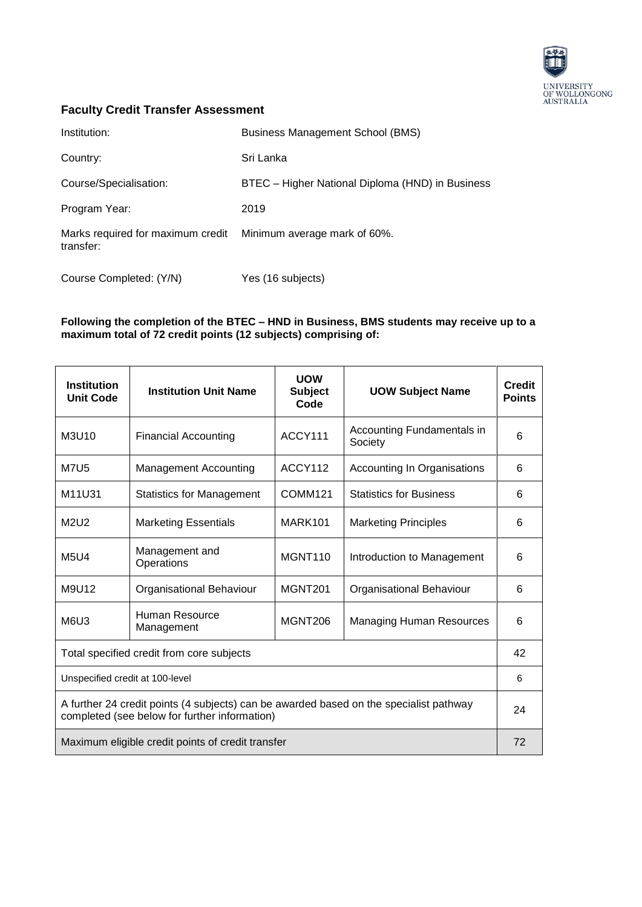

## **Faculty Credit Transfer Assessment**

| Institution:                                   | <b>Business Management School (BMS)</b>          |
|------------------------------------------------|--------------------------------------------------|
| Country:                                       | Sri Lanka                                        |
| Course/Specialisation:                         | BTEC - Higher National Diploma (HND) in Business |
| Program Year:                                  | 2019                                             |
| Marks required for maximum credit<br>transfer: | Minimum average mark of 60%.                     |
| Course Completed: (Y/N)                        | Yes (16 subjects)                                |

## **Following the completion of the BTEC – HND in Business, BMS students may receive up to a maximum total of 72 credit points (12 subjects) comprising of:**

| <b>Institution</b><br><b>Unit Code</b>                                                                                                  | <b>Institution Unit Name</b>        | <b>UOW</b><br><b>Subject</b><br>Code | <b>UOW Subject Name</b>               | <b>Credit</b><br><b>Points</b> |
|-----------------------------------------------------------------------------------------------------------------------------------------|-------------------------------------|--------------------------------------|---------------------------------------|--------------------------------|
| M3U10                                                                                                                                   | <b>Financial Accounting</b>         | ACCY111                              | Accounting Fundamentals in<br>Society | 6                              |
| <b>M7U5</b>                                                                                                                             | <b>Management Accounting</b>        | ACCY112                              | Accounting In Organisations           | 6                              |
| M11U31                                                                                                                                  | <b>Statistics for Management</b>    | COMM <sub>121</sub>                  | <b>Statistics for Business</b>        | 6                              |
| M2U2                                                                                                                                    | <b>Marketing Essentials</b>         | MARK101                              | <b>Marketing Principles</b>           | 6                              |
| <b>M5U4</b>                                                                                                                             | Management and<br>Operations        | MGNT110                              | Introduction to Management            | 6                              |
| M9U12                                                                                                                                   | Organisational Behaviour            | MGNT <sub>201</sub>                  | Organisational Behaviour              | 6                              |
| M6U3                                                                                                                                    | <b>Human Resource</b><br>Management | <b>MGNT206</b>                       | <b>Managing Human Resources</b>       | 6                              |
| Total specified credit from core subjects                                                                                               |                                     |                                      |                                       | 42                             |
| Unspecified credit at 100-level                                                                                                         |                                     |                                      |                                       | 6                              |
| A further 24 credit points (4 subjects) can be awarded based on the specialist pathway<br>completed (see below for further information) |                                     |                                      |                                       | 24                             |
| Maximum eligible credit points of credit transfer                                                                                       |                                     |                                      | 72                                    |                                |